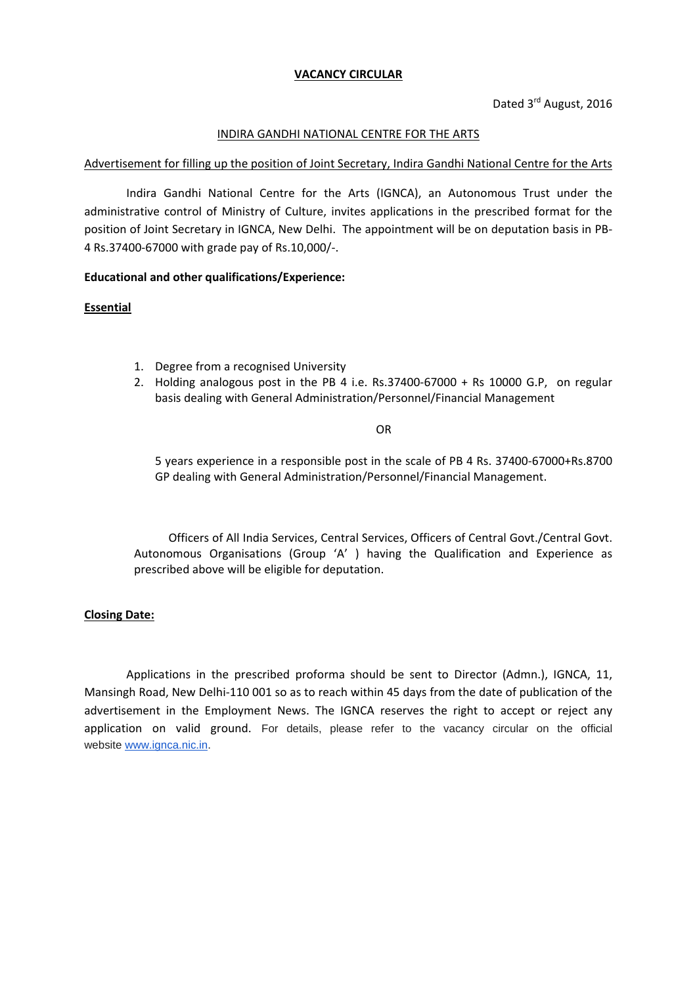## **VACANCY CIRCULAR**

## INDIRA GANDHI NATIONAL CENTRE FOR THE ARTS

#### Advertisement for filling up the position of Joint Secretary, Indira Gandhi National Centre for the Arts

Indira Gandhi National Centre for the Arts (IGNCA), an Autonomous Trust under the administrative control of Ministry of Culture, invites applications in the prescribed format for the position of Joint Secretary in IGNCA, New Delhi. The appointment will be on deputation basis in PB-4 Rs.37400-67000 with grade pay of Rs.10,000/-.

#### **Educational and other qualifications/Experience:**

#### **Essential**

- 1. Degree from a recognised University
- 2. Holding analogous post in the PB 4 i.e. Rs.37400-67000 + Rs 10000 G.P, on regular basis dealing with General Administration/Personnel/Financial Management

#### OR

5 years experience in a responsible post in the scale of PB 4 Rs. 37400-67000+Rs.8700 GP dealing with General Administration/Personnel/Financial Management.

Officers of All India Services, Central Services, Officers of Central Govt./Central Govt. Autonomous Organisations (Group 'A' ) having the Qualification and Experience as prescribed above will be eligible for deputation.

#### **Closing Date:**

Applications in the prescribed proforma should be sent to Director (Admn.), IGNCA, 11, Mansingh Road, New Delhi-110 001 so as to reach within 45 days from the date of publication of the advertisement in the Employment News. The IGNCA reserves the right to accept or reject any application on valid ground. For details, please refer to the vacancy circular on the official website [www.ignca.nic.in.](http://www.ignca.nic.in/)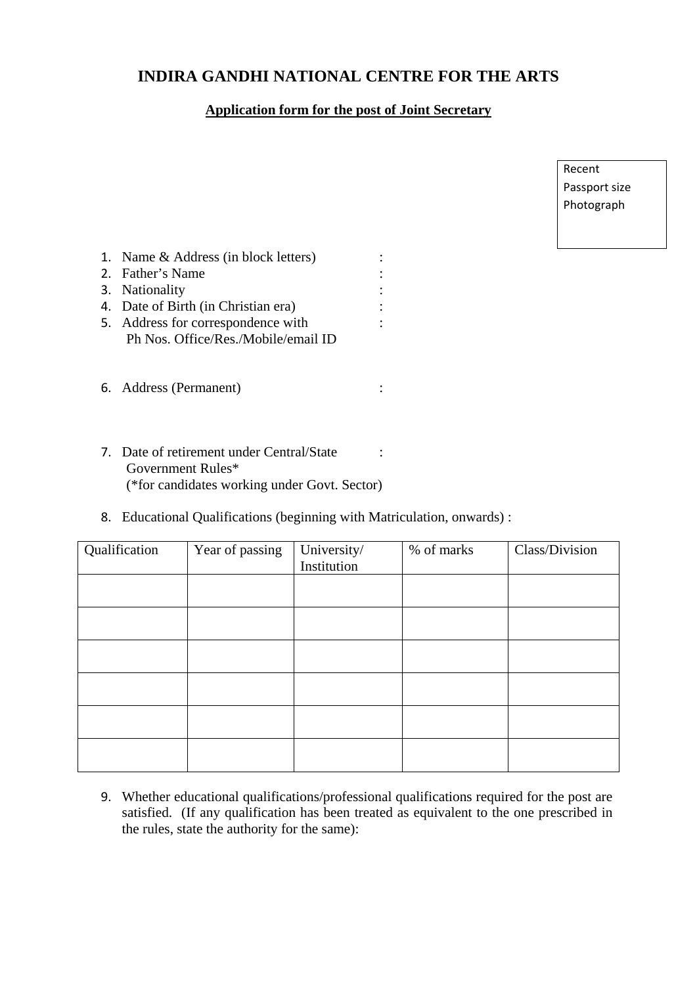# **INDIRA GANDHI NATIONAL CENTRE FOR THE ARTS**

# **Application form for the post of Joint Secretary**

| Recent        |  |
|---------------|--|
| Passport size |  |
| Photograph    |  |

| 1. Name & Address (in block letters) |  |
|--------------------------------------|--|
| 2. Father's Name                     |  |
| 3. Nationality                       |  |
| 4. Date of Birth (in Christian era)  |  |
| 5. Address for correspondence with   |  |
| Ph Nos. Office/Res./Mobile/email ID  |  |
|                                      |  |
|                                      |  |

7. Date of retirement under Central/State : Government Rules\* (\*for candidates working under Govt. Sector)

6. Address (Permanent) :

8. Educational Qualifications (beginning with Matriculation, onwards) :

| Qualification | Year of passing | University/<br>Institution | % of marks | Class/Division |
|---------------|-----------------|----------------------------|------------|----------------|
|               |                 |                            |            |                |
|               |                 |                            |            |                |
|               |                 |                            |            |                |
|               |                 |                            |            |                |
|               |                 |                            |            |                |
|               |                 |                            |            |                |

9. Whether educational qualifications/professional qualifications required for the post are satisfied. (If any qualification has been treated as equivalent to the one prescribed in the rules, state the authority for the same):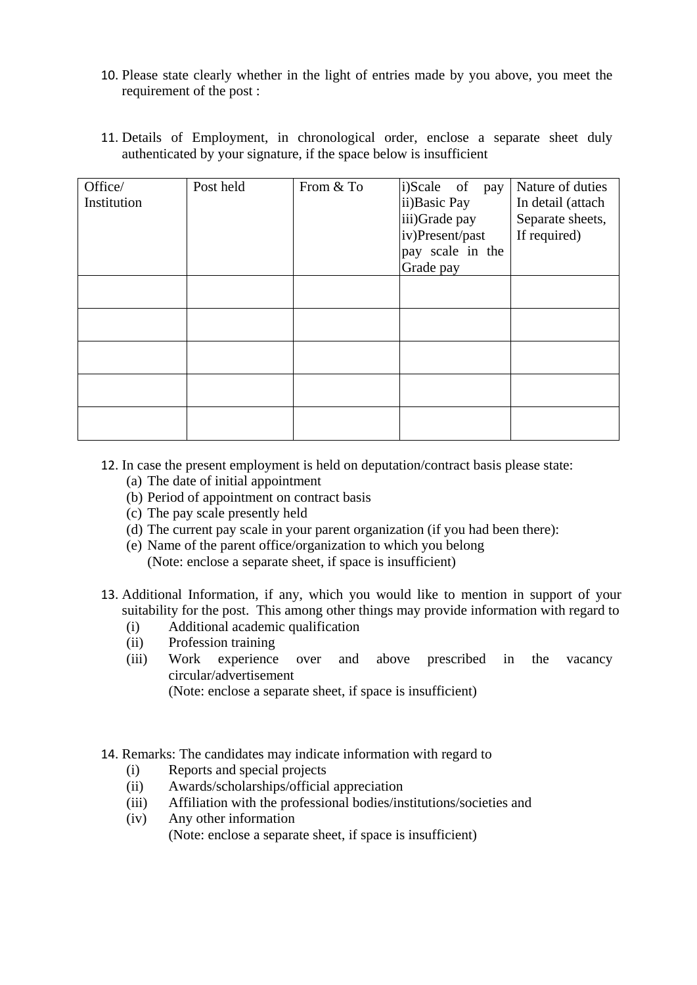- 10. Please state clearly whether in the light of entries made by you above, you meet the requirement of the post :
- 11. Details of Employment, in chronological order, enclose a separate sheet duly authenticated by your signature, if the space below is insufficient

| Office/<br>Institution | Post held | From & To | i)Scale of pay<br>ii) Basic Pay<br>iii)Grade pay<br>iv)Present/past<br>pay scale in the<br>Grade pay | Nature of duties<br>In detail (attach<br>Separate sheets,<br>If required) |
|------------------------|-----------|-----------|------------------------------------------------------------------------------------------------------|---------------------------------------------------------------------------|
|                        |           |           |                                                                                                      |                                                                           |
|                        |           |           |                                                                                                      |                                                                           |
|                        |           |           |                                                                                                      |                                                                           |
|                        |           |           |                                                                                                      |                                                                           |
|                        |           |           |                                                                                                      |                                                                           |

- 12. In case the present employment is held on deputation/contract basis please state:
	- (a) The date of initial appointment
	- (b) Period of appointment on contract basis
	- (c) The pay scale presently held
	- (d) The current pay scale in your parent organization (if you had been there):
	- (e) Name of the parent office/organization to which you belong (Note: enclose a separate sheet, if space is insufficient)
- 13. Additional Information, if any, which you would like to mention in support of your suitability for the post. This among other things may provide information with regard to
	- (i) Additional academic qualification
	- (ii) Profession training
	- (iii) Work experience over and above prescribed in the vacancy circular/advertisement

(Note: enclose a separate sheet, if space is insufficient)

- 14. Remarks: The candidates may indicate information with regard to
	- (i) Reports and special projects
	- (ii) Awards/scholarships/official appreciation
	- (iii) Affiliation with the professional bodies/institutions/societies and
	- (iv) Any other information (Note: enclose a separate sheet, if space is insufficient)